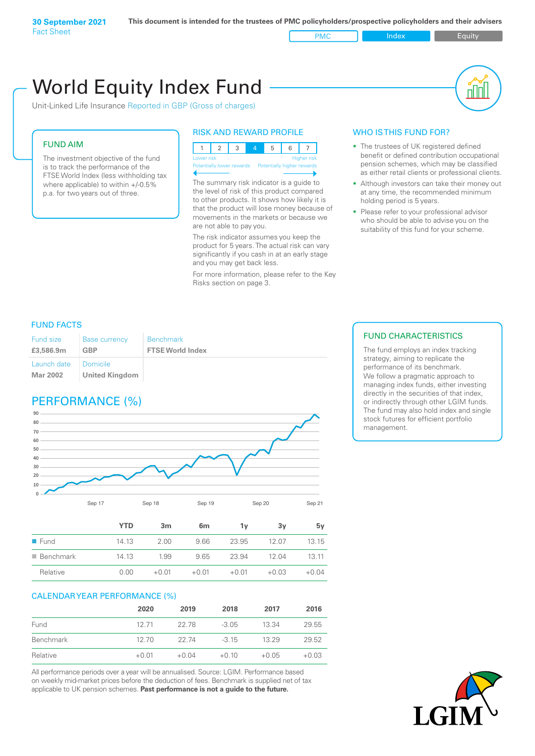### FUND AIM The investment objective of the fund is to track the performance of the FTSE World Index (less withholding tax where applicable) to within +/-0.5% p.a. for two years out of three. WHO IS THIS FUND FOR? • The trustees of UK registered defined pension schemes, which may be classified at any time, the recommended minimum holding period is 5 years. • Please refer to your professional advisor who should be able to advise you on the suitability of this fund for your scheme. RISK AND REWARD PROFILE 123 4 5 6 7 Lower risk and the contract of the Higher risk Potentially lower rewards Potentially higher rewards The summary risk indicator is a guide to the level of risk of this product compared to other products. It shows how likely it is that the product will lose money because of movements in the markets or because we are not able to pay you. The risk indicator assumes you keep the product for 5 years. The actual risk can vary significantly if you cash in at an early stage and you may get back less. Unit-Linked Life Insurance Reported in GBP (Gross of charges) World Equity Index Fund

For more information, please refer to the Key Risks section on page 3.

- benefit or defined contribution occupational as either retail clients or professional clients.
- Although investors can take their money out

## FUND FACTS

| <b>Fund size</b>        | <b>Base currency</b>              | <b>Benchmark</b>        |
|-------------------------|-----------------------------------|-------------------------|
| £3,586.9m               | <b>GBP</b>                        | <b>FTSE World Index</b> |
| Launch date<br>Mar 2002 | Domicile<br><b>United Kingdom</b> |                         |

# PERFORMANCE (%)



|                          | <b>YTD</b> | 3 <sub>m</sub> | 6 <sub>m</sub> | 1۷      | 3v      | 5v      |
|--------------------------|------------|----------------|----------------|---------|---------|---------|
| $\blacksquare$ Fund      | 14.13      | 2.00           | 9.66           | 23.95   | 12.07   | 13.15   |
| $\blacksquare$ Benchmark | 14.13      | 1.99           | 9.65           | 23.94   | 12.04   | 13.11   |
| Relative                 | 0.00       | $+0.01$        | $+0.01$        | $+0.01$ | $+0.03$ | $+0.04$ |

### CALENDAR YEAR PERFORMANCE (%)

|           | 2020    | 2019    | 2018    | 2017    | 2016    |
|-----------|---------|---------|---------|---------|---------|
| Fund      | 12 71   | 22.78   | $-3.05$ | 13.34   | 29.55   |
| Benchmark | 12,70   | 22 74   | $-3.15$ | 13.29   | 29.52   |
| Relative  | $+0.01$ | $+0.04$ | $+0.10$ | $+0.05$ | $+0.03$ |

All performance periods over a year will be annualised. Source: LGIM. Performance based on weekly mid-market prices before the deduction of fees. Benchmark is supplied net of tax applicable to UK pension schemes. **Past performance is not a guide to the future.**

## FUND CHARACTERISTICS

The fund employs an index tracking strategy, aiming to replicate the performance of its benchmark. We follow a pragmatic approach to managing index funds, either investing directly in the securities of that index, or indirectly through other LGIM funds. The fund may also hold index and single stock futures for efficient portfolio management.

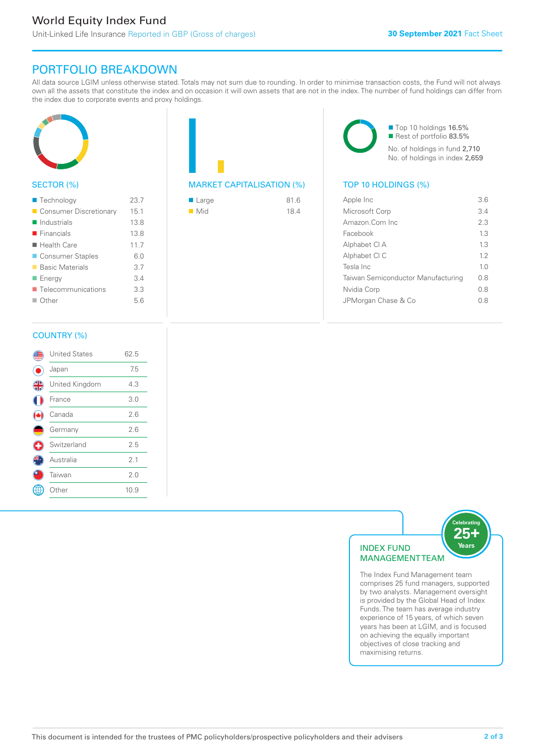# PORTFOLIO BREAKDOWN

All data source LGIM unless otherwise stated. Totals may not sum due to rounding. In order to minimise transaction costs, the Fund will not always own all the assets that constitute the index and on occasion it will own assets that are not in the index. The number of fund holdings can differ from the index due to corporate events and proxy holdings.



## SECTOR (%)

| ■ Technology               | 23.7 |
|----------------------------|------|
| Consumer Discretionary     | 15.1 |
| $\blacksquare$ Industrials | 13.8 |
| $\blacksquare$ Financials  | 13.8 |
| $\blacksquare$ Health Care | 11.7 |
| ■ Consumer Staples         | 6.0  |
| ■ Basic Materials          | 3.7  |
| ■ Energy                   | 3.4  |
| ■ Telecommunications       | 3.3  |
| $\Box$ Other               | 5.6  |
|                            |      |

# MARKET CAPITALISATION (%) TOP 10 HOLDINGS (%)

| ■ Large            | 81.6 |
|--------------------|------|
| $\blacksquare$ Mid | 18.4 |

■ Top 10 holdings 16.5% Rest of portfolio 83.5% No. of holdings in fund 2,710 No. of holdings in index 2,659

| Apple Inc                          | 36             |
|------------------------------------|----------------|
| Microsoft Corp                     | 3.4            |
| Amazon.Com Inc.                    | 23             |
| Facebook                           | 13             |
| Alphabet CI A                      | 13             |
| Alphabet CI C                      | 12             |
| Tesla Inc                          | 1 <sub>0</sub> |
| Taiwan Semiconductor Manufacturing | 0 S            |
| Nvidia Corp                        | 08             |
| JPMorgan Chase & Co                | 08             |
|                                    |                |

### COUNTRY (%)

|   | <b>United States</b> | 62.5 |  |
|---|----------------------|------|--|
|   | Japan                | 7.5  |  |
| 4 | United Kingdom       | 4.3  |  |
|   | France               | 3.0  |  |
|   | Canada               | 2.6  |  |
|   | Germany              | 2.6  |  |
| ÷ | Switzerland          | 2.5  |  |
|   | Australia            | 2.1  |  |
|   | Taiwan               | 2.0  |  |
|   | Other                | 10.9 |  |
|   |                      |      |  |



The Index Fund Management team comprises 25 fund managers, supported by two analysts. Management oversight is provided by the Global Head of Index Funds. The team has average industry experience of 15 years, of which seven years has been at LGIM, and is focused on achieving the equally important objectives of close tracking and maximising returns.